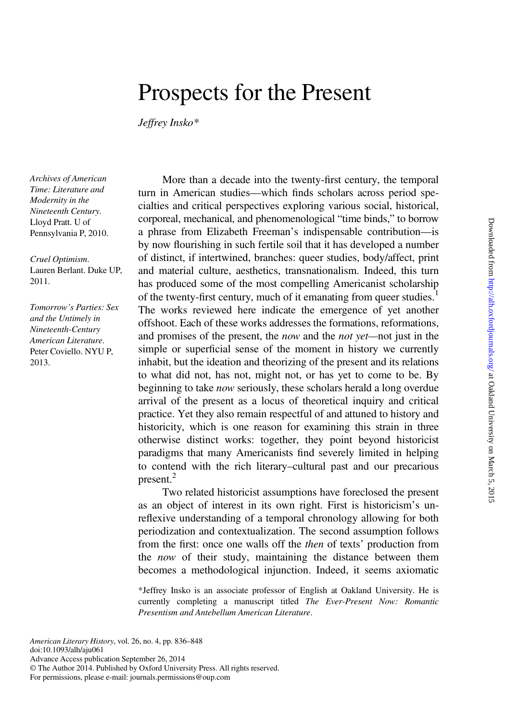## Prospects for the Present

Jeffrey Insko\*

Archives of American Time: Literature and Modernity in the Nineteenth Century. Lloyd Pratt. U of Pennsylvania P, 2010.

Cruel Optimism. Lauren Berlant. Duke UP, 2011.

Tomorrow's Parties: Sex and the Untimely in Nineteenth-Century American Literature. Peter Coviello. NYU P, 2013.

More than a decade into the twenty-first century, the temporal turn in American studies—which finds scholars across period specialties and critical perspectives exploring various social, historical, corporeal, mechanical, and phenomenological "time binds," to borrow a phrase from Elizabeth Freeman's indispensable contribution—is by now flourishing in such fertile soil that it has developed a number of distinct, if intertwined, branches: queer studies, body/affect, print and material culture, aesthetics, transnationalism. Indeed, this turn has produced some of the most compelling Americanist scholarship of the twenty-first century, much of it emanating from queer studies.1 The works reviewed here indicate the emergence of yet another offshoot. Each of these works addresses the formations, reformations, and promises of the present, the now and the not yet—not just in the simple or superficial sense of the moment in history we currently inhabit, but the ideation and theorizing of the present and its relations to what did not, has not, might not, or has yet to come to be. By beginning to take *now* seriously, these scholars herald a long overdue arrival of the present as a locus of theoretical inquiry and critical practice. Yet they also remain respectful of and attuned to history and historicity, which is one reason for examining this strain in three otherwise distinct works: together, they point beyond historicist paradigms that many Americanists find severely limited in helping to contend with the rich literary–cultural past and our precarious present.<sup>2</sup>

Two related historicist assumptions have foreclosed the present as an object of interest in its own right. First is historicism's unreflexive understanding of a temporal chronology allowing for both periodization and contextualization. The second assumption follows from the first: once one walls off the then of texts' production from the now of their study, maintaining the distance between them becomes a methodological injunction. Indeed, it seems axiomatic

\*Jeffrey Insko is an associate professor of English at Oakland University. He is currently completing a manuscript titled The Ever-Present Now: Romantic Presentism and Antebellum American Literature.

American Literary History, vol. 26, no. 4, pp. 836–848 doi:10.1093/alh/aju061 Advance Access publication September 26, 2014 © The Author 2014. Published by Oxford University Press. All rights reserved. For permissions, please e-mail: journals.permissions@oup.com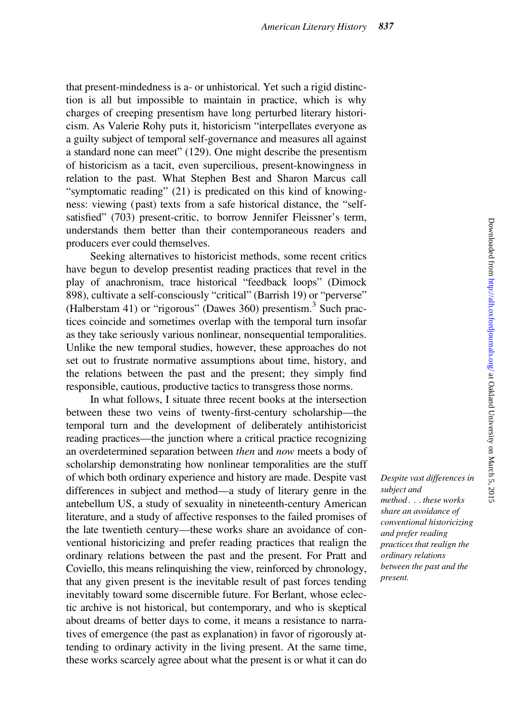that present-mindedness is a- or unhistorical. Yet such a rigid distinction is all but impossible to maintain in practice, which is why charges of creeping presentism have long perturbed literary historicism. As Valerie Rohy puts it, historicism "interpellates everyone as a guilty subject of temporal self-governance and measures all against a standard none can meet" (129). One might describe the presentism of historicism as a tacit, even supercilious, present-knowingness in relation to the past. What Stephen Best and Sharon Marcus call "symptomatic reading" (21) is predicated on this kind of knowingness: viewing ( past) texts from a safe historical distance, the "selfsatisfied" (703) present-critic, to borrow Jennifer Fleissner's term, understands them better than their contemporaneous readers and producers ever could themselves.

Seeking alternatives to historicist methods, some recent critics have begun to develop presentist reading practices that revel in the play of anachronism, trace historical "feedback loops" (Dimock 898), cultivate a self-consciously "critical" (Barrish 19) or "perverse" (Halberstam 41) or "rigorous" (Dawes 360) presentism.<sup>3</sup> Such practices coincide and sometimes overlap with the temporal turn insofar as they take seriously various nonlinear, nonsequential temporalities. Unlike the new temporal studies, however, these approaches do not set out to frustrate normative assumptions about time, history, and the relations between the past and the present; they simply find responsible, cautious, productive tactics to transgress those norms.

In what follows, I situate three recent books at the intersection between these two veins of twenty-first-century scholarship—the temporal turn and the development of deliberately antihistoricist reading practices—the junction where a critical practice recognizing an overdetermined separation between then and now meets a body of scholarship demonstrating how nonlinear temporalities are the stuff of which both ordinary experience and history are made. Despite vast differences in subject and method—a study of literary genre in the antebellum US, a study of sexuality in nineteenth-century American literature, and a study of affective responses to the failed promises of the late twentieth century—these works share an avoidance of conventional historicizing and prefer reading practices that realign the ordinary relations between the past and the present. For Pratt and Coviello, this means relinquishing the view, reinforced by chronology, that any given present is the inevitable result of past forces tending inevitably toward some discernible future. For Berlant, whose eclectic archive is not historical, but contemporary, and who is skeptical about dreams of better days to come, it means a resistance to narratives of emergence (the past as explanation) in favor of rigorously attending to ordinary activity in the living present. At the same time, these works scarcely agree about what the present is or what it can do

Despite vast differences in subject and method . . . these works share an avoidance of conventional historicizing and prefer reading practices that realign the ordinary relations between the past and the present.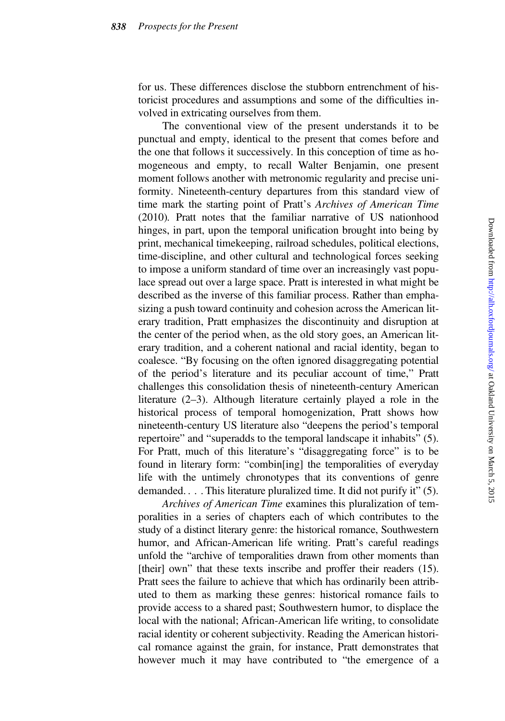for us. These differences disclose the stubborn entrenchment of historicist procedures and assumptions and some of the difficulties involved in extricating ourselves from them.

The conventional view of the present understands it to be punctual and empty, identical to the present that comes before and the one that follows it successively. In this conception of time as homogeneous and empty, to recall Walter Benjamin, one present moment follows another with metronomic regularity and precise uniformity. Nineteenth-century departures from this standard view of time mark the starting point of Pratt's Archives of American Time (2010). Pratt notes that the familiar narrative of US nationhood hinges, in part, upon the temporal unification brought into being by print, mechanical timekeeping, railroad schedules, political elections, time-discipline, and other cultural and technological forces seeking to impose a uniform standard of time over an increasingly vast populace spread out over a large space. Pratt is interested in what might be described as the inverse of this familiar process. Rather than emphasizing a push toward continuity and cohesion across the American literary tradition, Pratt emphasizes the discontinuity and disruption at the center of the period when, as the old story goes, an American literary tradition, and a coherent national and racial identity, began to coalesce. "By focusing on the often ignored disaggregating potential of the period's literature and its peculiar account of time," Pratt challenges this consolidation thesis of nineteenth-century American literature (2–3). Although literature certainly played a role in the historical process of temporal homogenization, Pratt shows how nineteenth-century US literature also "deepens the period's temporal repertoire" and "superadds to the temporal landscape it inhabits" (5). For Pratt, much of this literature's "disaggregating force" is to be found in literary form: "combin[ing] the temporalities of everyday life with the untimely chronotypes that its conventions of genre demanded. . . . This literature pluralized time. It did not purify it" (5).

Archives of American Time examines this pluralization of temporalities in a series of chapters each of which contributes to the study of a distinct literary genre: the historical romance, Southwestern humor, and African-American life writing. Pratt's careful readings unfold the "archive of temporalities drawn from other moments than [their] own" that these texts inscribe and proffer their readers (15). Pratt sees the failure to achieve that which has ordinarily been attributed to them as marking these genres: historical romance fails to provide access to a shared past; Southwestern humor, to displace the local with the national; African-American life writing, to consolidate racial identity or coherent subjectivity. Reading the American historical romance against the grain, for instance, Pratt demonstrates that however much it may have contributed to "the emergence of a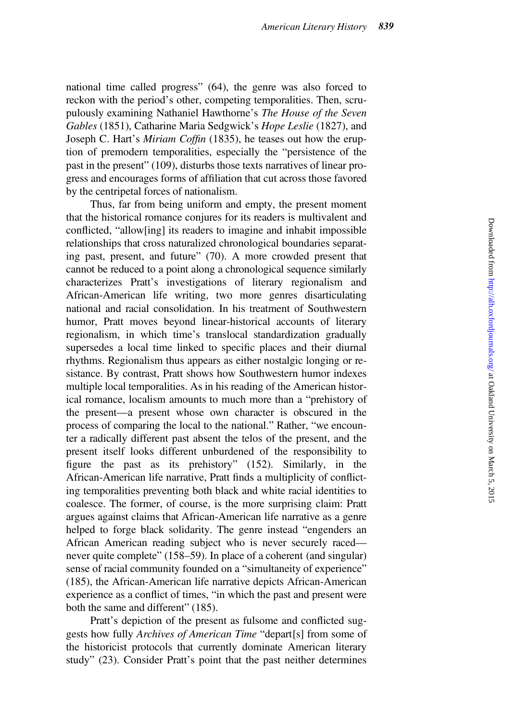national time called progress " (64), the genre was also forced to reckon with the period 's other, competing temporalities. Then, scrupulously examining Nathaniel Hawthorne's The House of the Seven Gables (1851), Catharine Maria Sedgwick's Hope Leslie (1827), and Joseph C. Hart's Miriam Coffin (1835), he teases out how the eruption of premodern temporalities, especially the "persistence of the past in the present" (109), disturbs those texts narratives of linear progress and encourages forms of affiliation that cut across those favored by the centripetal forces of nationalism.

Thus, far from being uniform and empty, the present moment that the historical romance conjures for its readers is multivalent and con flicted, "allow[ing] its readers to imagine and inhabit impossible relationships that cross naturalized chronological boundaries separating past, present, and future" (70). A more crowded present that cannot be reduced to a point along a chronological sequence similarly characterizes Pratt 's investigations of literary regionalism and African-American life writing, two more genres disarticulating national and racial consolidation. In his treatment of Southwestern humor, Pratt moves beyond linear-historical accounts of literary regionalism, in which time 's translocal standardization gradually supersedes a local time linked to specific places and their diurnal rhythms. Regionalism thus appears as either nostalgic longing or resistance. By contrast, Pratt shows how Southwestern humor indexes multiple local temporalities. As in his reading of the American historical romance, localism amounts to much more than a "prehistory of the present—a present whose own character is obscured in the process of comparing the local to the national." Rather, "we encounter a radically different past absent the telos of the present, and the present itself looks different unburdened of the responsibility to figure the past as its prehistory" (152). Similarly, in the African-American life narrative, Pratt finds a multiplicity of conflicting temporalities preventing both black and white racial identities to coalesce. The former, of course, is the more surprising claim: Pratt argues against claims that African-American life narrative as a genre helped to forge black solidarity. The genre instead "engenders an African American reading subject who is never securely raced never quite complete " (158 –59). In place of a coherent (and singular) sense of racial community founded on a "simultaneity of experience" (185), the African-American life narrative depicts African-American experience as a con flict of times, "in which the past and present were both the same and different" (185).

Pratt's depiction of the present as fulsome and conflicted suggests how fully Archives of American Time "depart[s] from some of the historicist protocols that currently dominate American literary study " (23). Consider Pratt 's point that the past neither determines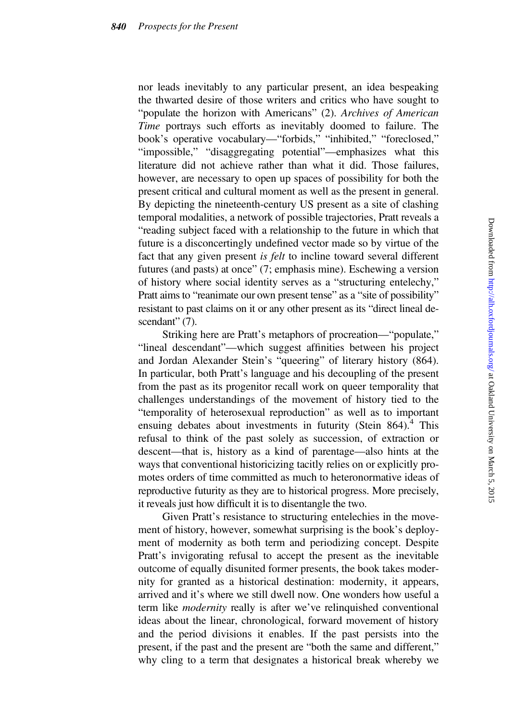nor leads inevitably to any particular present, an idea bespeaking the thwarted desire of those writers and critics who have sought to "populate the horizon with Americans" (2). Archives of American Time portrays such efforts as inevitably doomed to failure. The book's operative vocabulary—"forbids," "inhibited," "foreclosed," "impossible," "disaggregating potential"—emphasizes what this literature did not achieve rather than what it did. Those failures, however, are necessary to open up spaces of possibility for both the present critical and cultural moment as well as the present in general. By depicting the nineteenth-century US present as a site of clashing temporal modalities, a network of possible trajectories, Pratt reveals a "reading subject faced with a relationship to the future in which that future is a disconcertingly undefined vector made so by virtue of the fact that any given present is felt to incline toward several different futures (and pasts) at once" (7; emphasis mine). Eschewing a version of history where social identity serves as a "structuring entelechy," Pratt aims to "reanimate our own present tense" as a "site of possibility" resistant to past claims on it or any other present as its "direct lineal descendant" (7).

Striking here are Pratt's metaphors of procreation—"populate," "lineal descendant"—which suggest affinities between his project and Jordan Alexander Stein's "queering" of literary history (864). In particular, both Pratt's language and his decoupling of the present from the past as its progenitor recall work on queer temporality that challenges understandings of the movement of history tied to the "temporality of heterosexual reproduction" as well as to important ensuing debates about investments in futurity (Stein  $864$ ).<sup>4</sup> This refusal to think of the past solely as succession, of extraction or descent—that is, history as a kind of parentage—also hints at the ways that conventional historicizing tacitly relies on or explicitly promotes orders of time committed as much to heteronormative ideas of reproductive futurity as they are to historical progress. More precisely, it reveals just how difficult it is to disentangle the two.

Given Pratt's resistance to structuring entelechies in the movement of history, however, somewhat surprising is the book's deployment of modernity as both term and periodizing concept. Despite Pratt's invigorating refusal to accept the present as the inevitable outcome of equally disunited former presents, the book takes modernity for granted as a historical destination: modernity, it appears, arrived and it's where we still dwell now. One wonders how useful a term like *modernity* really is after we've relinquished conventional ideas about the linear, chronological, forward movement of history and the period divisions it enables. If the past persists into the present, if the past and the present are "both the same and different," why cling to a term that designates a historical break whereby we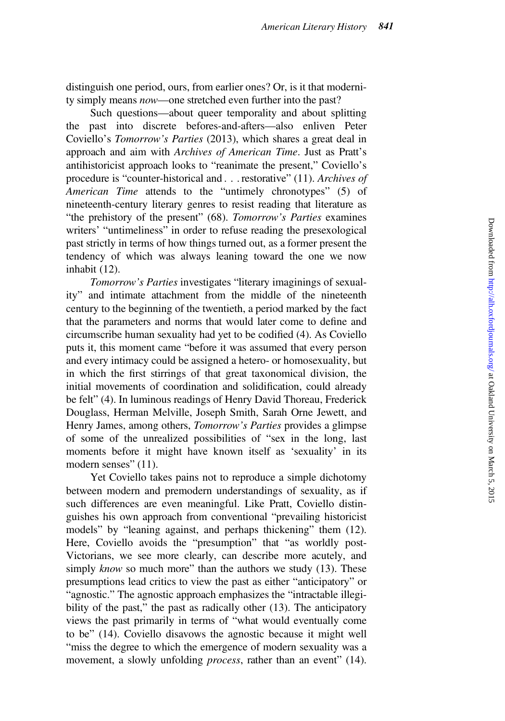distinguish one period, ours, from earlier ones? Or, is it that modernity simply means now—one stretched even further into the past?

Such questions —about queer temporality and about splitting the past into discrete befores-and-afters —also enliven Peter Coviello's Tomorrow's Parties (2013), which shares a great deal in approach and aim with Archives of American Time. Just as Pratt's antihistoricist approach looks to "reanimate the present," Coviello's procedure is "counter-historical and . . . restorative" (11). Archives of American Time attends to the "untimely chronotypes" (5) of nineteenth-century literary genres to resist reading that literature as "the prehistory of the present" (68). Tomorrow's Parties examines writers' "untimeliness " in order to refuse reading the presexological past strictly in terms of how things turned out, as a former present the tendency of which was always leaning toward the one we now inhabit (12).

Tomorrow's Parties investigates "literary imaginings of sexuality" and intimate attachment from the middle of the nineteenth century to the beginning of the twentieth, a period marked by the fact that the parameters and norms that would later come to de fine and circumscribe human sexuality had yet to be codi fied (4). As Coviello puts it, this moment came "before it was assumed that every person and every intimacy could be assigned a hetero- or homosexuality, but in which the first stirrings of that great taxonomical division, the initial movements of coordination and solidi fication, could already be felt " (4). In luminous readings of Henry David Thoreau, Frederick Douglass, Herman Melville, Joseph Smith, Sarah Orne Jewett, and Henry James, among others, Tomorrow's Parties provides a glimpse of some of the unrealized possibilities of "sex in the long, last moments before it might have known itself as 'sexuality ' in its modern senses" (11).

Yet Coviello takes pains not to reproduce a simple dichotomy between modern and premodern understandings of sexuality, as if such differences are even meaningful. Like Pratt, Coviello distinguishes his own approach from conventional "prevailing historicist models " by "leaning against, and perhaps thickening " them (12). Here, Coviello avoids the "presumption" that "as worldly post-Victorians, we see more clearly, can describe more acutely, and simply know so much more" than the authors we study (13). These presumptions lead critics to view the past as either "anticipatory " or "agnostic. " The agnostic approach emphasizes the "intractable illegibility of the past," the past as radically other (13). The anticipatory views the past primarily in terms of "what would eventually come to be " (14). Coviello disavows the agnostic because it might well "miss the degree to which the emergence of modern sexuality was a movement, a slowly unfolding *process*, rather than an event" (14).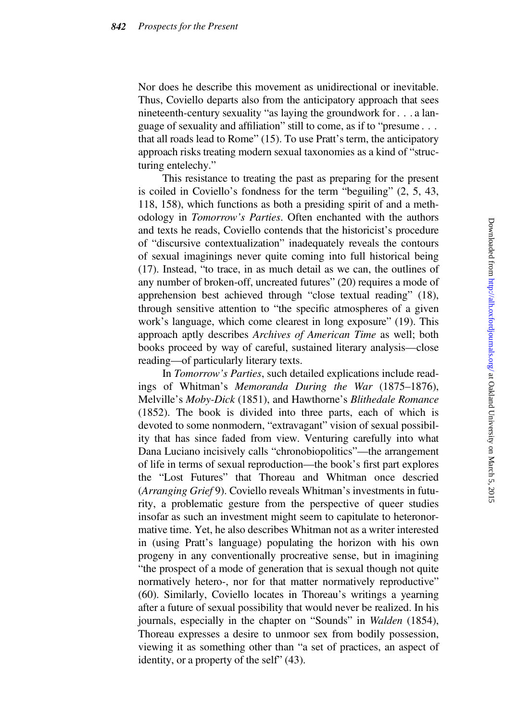Nor does he describe this movement as unidirectional or inevitable. Thus, Coviello departs also from the anticipatory approach that sees nineteenth-century sexuality "as laying the groundwork for . . . a language of sexuality and affiliation" still to come, as if to "presume . . . that all roads lead to Rome" (15). To use Pratt's term, the anticipatory approach risks treating modern sexual taxonomies as a kind of "structuring entelechy."

This resistance to treating the past as preparing for the present is coiled in Coviello's fondness for the term "beguiling" (2, 5, 43, 118, 158), which functions as both a presiding spirit of and a methodology in Tomorrow's Parties. Often enchanted with the authors and texts he reads, Coviello contends that the historicist's procedure of "discursive contextualization" inadequately reveals the contours of sexual imaginings never quite coming into full historical being (17). Instead, "to trace, in as much detail as we can, the outlines of any number of broken-off, uncreated futures" (20) requires a mode of apprehension best achieved through "close textual reading" (18), through sensitive attention to "the specific atmospheres of a given work's language, which come clearest in long exposure" (19). This approach aptly describes Archives of American Time as well; both books proceed by way of careful, sustained literary analysis—close reading—of particularly literary texts.

In Tomorrow's Parties, such detailed explications include readings of Whitman's Memoranda During the War (1875–1876), Melville's Moby-Dick (1851), and Hawthorne's Blithedale Romance (1852). The book is divided into three parts, each of which is devoted to some nonmodern, "extravagant" vision of sexual possibility that has since faded from view. Venturing carefully into what Dana Luciano incisively calls "chronobiopolitics"—the arrangement of life in terms of sexual reproduction—the book's first part explores the "Lost Futures" that Thoreau and Whitman once descried (Arranging Grief 9). Coviello reveals Whitman's investments in futurity, a problematic gesture from the perspective of queer studies insofar as such an investment might seem to capitulate to heteronormative time. Yet, he also describes Whitman not as a writer interested in (using Pratt's language) populating the horizon with his own progeny in any conventionally procreative sense, but in imagining "the prospect of a mode of generation that is sexual though not quite normatively hetero-, nor for that matter normatively reproductive" (60). Similarly, Coviello locates in Thoreau's writings a yearning after a future of sexual possibility that would never be realized. In his journals, especially in the chapter on "Sounds" in Walden (1854), Thoreau expresses a desire to unmoor sex from bodily possession, viewing it as something other than "a set of practices, an aspect of identity, or a property of the self" (43).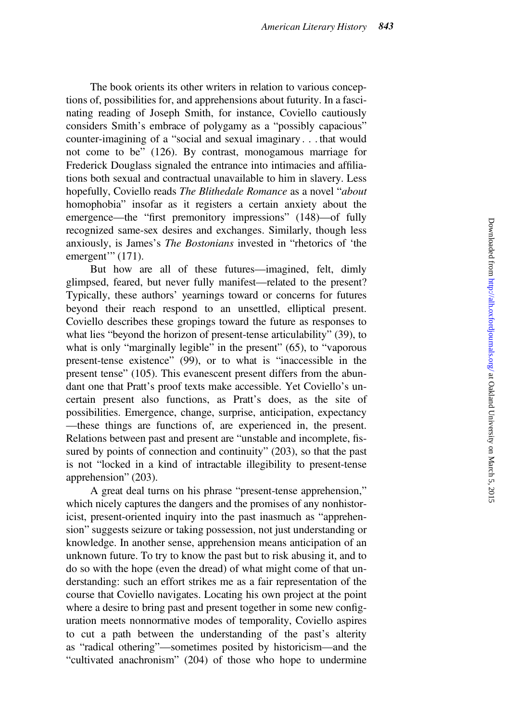The book orients its other writers in relation to various conceptions of, possibilities for, and apprehensions about futurity. In a fascinating reading of Joseph Smith, for instance, Coviello cautiously considers Smith 's embrace of polygamy as a "possibly capacious " counter-imagining of a "social and sexual imaginary . . . that would not come to be " (126). By contrast, monogamous marriage for Frederick Douglass signaled the entrance into intimacies and affiliations both sexual and contractual unavailable to him in slavery. Less hopefully, Coviello reads The Blithedale Romance as a novel "about homophobia " insofar as it registers a certain anxiety about the emergence—the "first premonitory impressions" (148)—of fully recognized same-sex desires and exchanges. Similarly, though less anxiously, is James's The Bostonians invested in "rhetorics of 'the emergent'" (171).

But how are all of these futures —imagined, felt, dimly glimpsed, feared, but never fully manifest—related to the present? Typically, these authors ' yearnings toward or concerns for futures beyond their reach respond to an unsettled, elliptical present. Coviello describes these gropings toward the future as responses to what lies "beyond the horizon of present-tense articulability" (39), to what is only "marginally legible" in the present" (65), to "vaporous present-tense existence" (99), or to what is "inaccessible in the present tense" (105). This evanescent present differs from the abundant one that Pratt's proof texts make accessible. Yet Coviello's uncertain present also functions, as Pratt's does, as the site of possibilities. Emergence, change, surprise, anticipation, expectancy —these things are functions of, are experienced in, the present. Relations between past and present are "unstable and incomplete, fissured by points of connection and continuity" (203), so that the past is not "locked in a kind of intractable illegibility to present-tense apprehension " (203).

A great deal turns on his phrase "present-tense apprehension, " which nicely captures the dangers and the promises of any nonhistoricist, present-oriented inquiry into the past inasmuch as "apprehension" suggests seizure or taking possession, not just understanding or knowledge. In another sense, apprehension means anticipation of an unknown future. To try to know the past but to risk abusing it, and to do so with the hope (even the dread) of what might come of that understanding: such an effort strikes me as a fair representation of the course that Coviello navigates. Locating his own project at the point where a desire to bring past and present together in some new configuration meets nonnormative modes of temporality, Coviello aspires to cut a path between the understanding of the past 's alterity as "radical othering"—sometimes posited by historicism—and the "cultivated anachronism " (204) of those who hope to undermine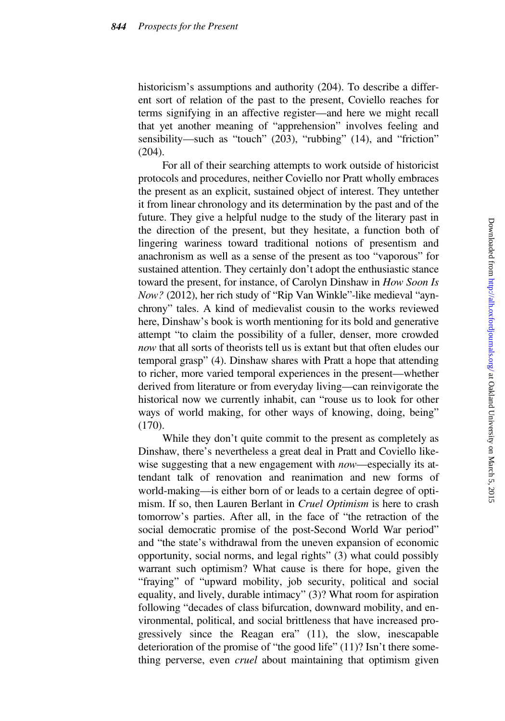historicism's assumptions and authority (204). To describe a different sort of relation of the past to the present, Coviello reaches for terms signifying in an affective register—and here we might recall that yet another meaning of "apprehension" involves feeling and sensibility—such as "touch" (203), "rubbing" (14), and "friction" (204).

For all of their searching attempts to work outside of historicist protocols and procedures, neither Coviello nor Pratt wholly embraces the present as an explicit, sustained object of interest. They untether it from linear chronology and its determination by the past and of the future. They give a helpful nudge to the study of the literary past in the direction of the present, but they hesitate, a function both of lingering wariness toward traditional notions of presentism and anachronism as well as a sense of the present as too "vaporous" for sustained attention. They certainly don't adopt the enthusiastic stance toward the present, for instance, of Carolyn Dinshaw in How Soon Is Now? (2012), her rich study of "Rip Van Winkle"-like medieval "aynchrony" tales. A kind of medievalist cousin to the works reviewed here, Dinshaw's book is worth mentioning for its bold and generative attempt "to claim the possibility of a fuller, denser, more crowded now that all sorts of theorists tell us is extant but that often eludes our temporal grasp" (4). Dinshaw shares with Pratt a hope that attending to richer, more varied temporal experiences in the present—whether derived from literature or from everyday living—can reinvigorate the historical now we currently inhabit, can "rouse us to look for other ways of world making, for other ways of knowing, doing, being" (170).

While they don't quite commit to the present as completely as Dinshaw, there's nevertheless a great deal in Pratt and Coviello likewise suggesting that a new engagement with *now*—especially its attendant talk of renovation and reanimation and new forms of world-making—is either born of or leads to a certain degree of optimism. If so, then Lauren Berlant in *Cruel Optimism* is here to crash tomorrow's parties. After all, in the face of "the retraction of the social democratic promise of the post-Second World War period" and "the state's withdrawal from the uneven expansion of economic opportunity, social norms, and legal rights" (3) what could possibly warrant such optimism? What cause is there for hope, given the "fraying" of "upward mobility, job security, political and social equality, and lively, durable intimacy" (3)? What room for aspiration following "decades of class bifurcation, downward mobility, and environmental, political, and social brittleness that have increased progressively since the Reagan era" (11), the slow, inescapable deterioration of the promise of "the good life" (11)? Isn't there something perverse, even *cruel* about maintaining that optimism given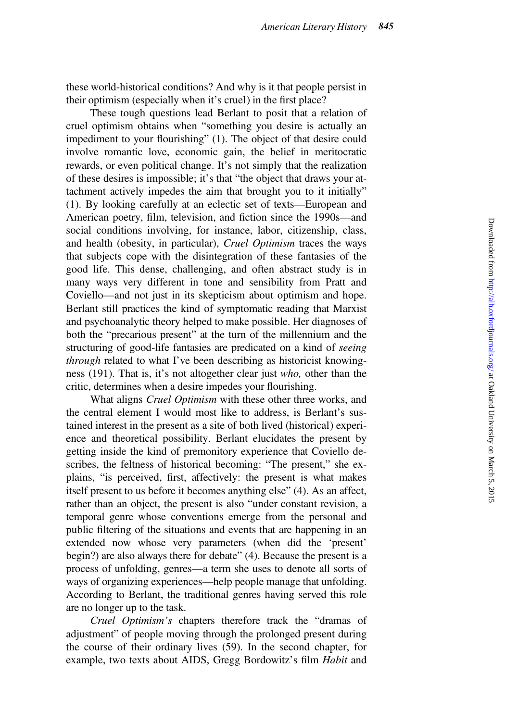these world-historical conditions? And why is it that people persist in their optimism (especially when it 's cruel) in the first place?

These tough questions lead Berlant to posit that a relation of cruel optimism obtains when "something you desire is actually an impediment to your flourishing" (1). The object of that desire could involve romantic love, economic gain, the belief in meritocratic rewards, or even political change. It 's not simply that the realization of these desires is impossible; it 's that "the object that draws your attachment actively impedes the aim that brought you to it initially" (1). By looking carefully at an eclectic set of texts —European and American poetry, film, television, and fiction since the 1990s —and social conditions involving, for instance, labor, citizenship, class, and health (obesity, in particular), Cruel Optimism traces the ways that subjects cope with the disintegration of these fantasies of the good life. This dense, challenging, and often abstract study is in many ways very different in tone and sensibility from Pratt and Coviello —and not just in its skepticism about optimism and hope. Berlant still practices the kind of symptomatic reading that Marxist and psychoanalytic theory helped to make possible. Her diagnoses of both the "precarious present " at the turn of the millennium and the structuring of good-life fantasies are predicated on a kind of seeing through related to what I've been describing as historicist knowingness (191). That is, it's not altogether clear just who, other than the critic, determines when a desire impedes your flourishing.

What aligns *Cruel Optimism* with these other three works, and the central element I would most like to address, is Berlant 's sustained interest in the present as a site of both lived (historical) experience and theoretical possibility. Berlant elucidates the present by getting inside the kind of premonitory experience that Coviello describes, the feltness of historical becoming: "The present," she explains, "is perceived, first, affectively: the present is what makes itself present to us before it becomes anything else" (4). As an affect, rather than an object, the present is also "under constant revision, a temporal genre whose conventions emerge from the personal and public filtering of the situations and events that are happening in an extended now whose very parameters (when did the 'present ' begin?) are also always there for debate" (4). Because the present is a process of unfolding, genres —a term she uses to denote all sorts of ways of organizing experiences —help people manage that unfolding. According to Berlant, the traditional genres having served this role are no longer up to the task.

Cruel Optimism ' s chapters therefore track the "dramas of adjustment " of people moving through the prolonged present during the course of their ordinary lives (59). In the second chapter, for example, two texts about AIDS, Gregg Bordowitz's film Habit and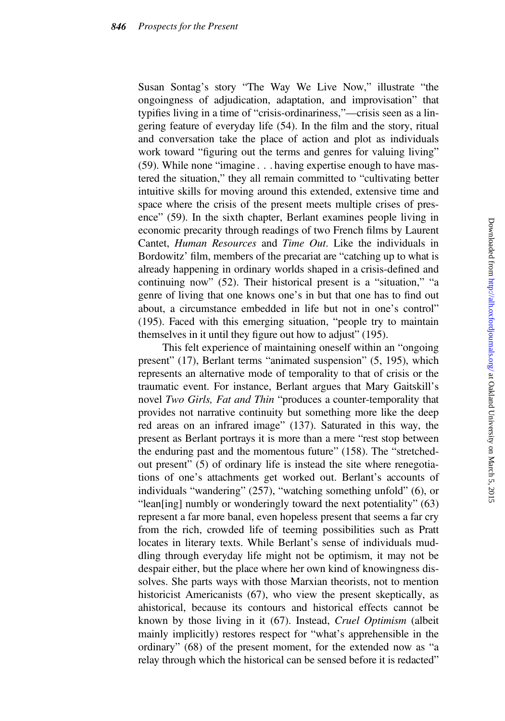Susan Sontag's story "The Way We Live Now," illustrate "the ongoingness of adjudication, adaptation, and improvisation" that typifies living in a time of "crisis-ordinariness,"—crisis seen as a lingering feature of everyday life (54). In the film and the story, ritual and conversation take the place of action and plot as individuals work toward "figuring out the terms and genres for valuing living" (59). While none "imagine . . . having expertise enough to have mastered the situation," they all remain committed to "cultivating better intuitive skills for moving around this extended, extensive time and space where the crisis of the present meets multiple crises of presence" (59). In the sixth chapter, Berlant examines people living in economic precarity through readings of two French films by Laurent Cantet, Human Resources and Time Out. Like the individuals in Bordowitz' film, members of the precariat are "catching up to what is already happening in ordinary worlds shaped in a crisis-defined and continuing now" (52). Their historical present is a "situation," "a genre of living that one knows one's in but that one has to find out about, a circumstance embedded in life but not in one's control" (195). Faced with this emerging situation, "people try to maintain themselves in it until they figure out how to adjust" (195).

This felt experience of maintaining oneself within an "ongoing present" (17), Berlant terms "animated suspension" (5, 195), which represents an alternative mode of temporality to that of crisis or the traumatic event. For instance, Berlant argues that Mary Gaitskill's novel Two Girls, Fat and Thin "produces a counter-temporality that provides not narrative continuity but something more like the deep red areas on an infrared image" (137). Saturated in this way, the present as Berlant portrays it is more than a mere "rest stop between the enduring past and the momentous future" (158). The "stretchedout present" (5) of ordinary life is instead the site where renegotiations of one's attachments get worked out. Berlant's accounts of individuals "wandering" (257), "watching something unfold" (6), or "lean[ing] numbly or wonderingly toward the next potentiality" (63) represent a far more banal, even hopeless present that seems a far cry from the rich, crowded life of teeming possibilities such as Pratt locates in literary texts. While Berlant's sense of individuals muddling through everyday life might not be optimism, it may not be despair either, but the place where her own kind of knowingness dissolves. She parts ways with those Marxian theorists, not to mention historicist Americanists (67), who view the present skeptically, as ahistorical, because its contours and historical effects cannot be known by those living in it (67). Instead, Cruel Optimism (albeit mainly implicitly) restores respect for "what's apprehensible in the ordinary" (68) of the present moment, for the extended now as "a relay through which the historical can be sensed before it is redacted"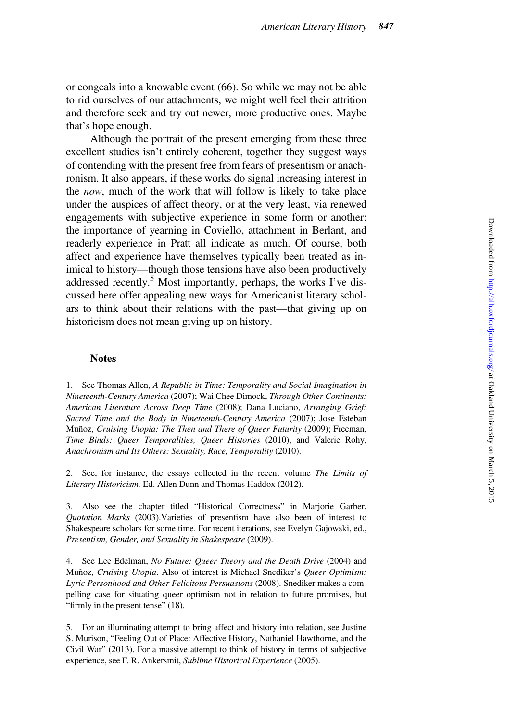or congeals into a knowable event (66). So while we may not be able to rid ourselves of our attachments, we might well feel their attrition and therefore seek and try out newer, more productive ones. Maybe that 's hope enough.

Although the portrait of the present emerging from these three excellent studies isn 't entirely coherent, together they suggest ways of contending with the present free from fears of presentism or anachronism. It also appears, if these works do signal increasing interest in the now, much of the work that will follow is likely to take place under the auspices of affect theory, or at the very least, via renewed engagements with subjective experience in some form or another: the importance of yearning in Coviello, attachment in Berlant, and readerly experience in Pratt all indicate as much. Of course, both affect and experience have themselves typically been treated as inimical to history—though those tensions have also been productively addressed recently.<sup>5</sup> Most importantly, perhaps, the works I've discussed here offer appealing new ways for Americanist literary scholars to think about their relations with the past—that giving up on historicism does not mean giving up on history.

## Notes

1. See Thomas Allen, A Republic in Time: Temporality and Social Imagination in Nineteenth-Century America (2007); Wai Chee Dimock, Through Other Continents: American Literature Across Deep Time (2008); Dana Luciano, Arranging Grief: Sacred Time and the Body in Nineteenth-Century America (2007); Jose Esteban Muñoz, Cruising Utopia: The Then and There of Queer Futurity (2009); Freeman, Time Binds: Queer Temporalities, Queer Histories (2010), and Valerie Rohy, Anachronism and Its Others: Sexuality, Race, Temporality (2010).

2. See, for instance, the essays collected in the recent volume The Limits of Literary Historicism, Ed. Allen Dunn and Thomas Haddox (2012).

3. Also see the chapter titled "Historical Correctness " in Marjorie Garber, Quotation Marks (2003).Varieties of presentism have also been of interest to Shakespeare scholars for some time. For recent iterations, see Evelyn Gajowski, ed., Presentism, Gender, and Sexuality in Shakespeare (2009).

4. See Lee Edelman, No Future: Queer Theory and the Death Drive (2004) and Muñoz, Cruising Utopia. Also of interest is Michael Snediker's Queer Optimism: Lyric Personhood and Other Felicitous Persuasions (2008). Snediker makes a compelling case for situating queer optimism not in relation to future promises, but "firmly in the present tense" (18).

5. For an illuminating attempt to bring affect and history into relation, see Justine S. Murison, "Feeling Out of Place: Affective History, Nathaniel Hawthorne, and the Civil War " (2013). For a massive attempt to think of history in terms of subjective experience, see F. R. Ankersmit, Sublime Historical Experience (2005).